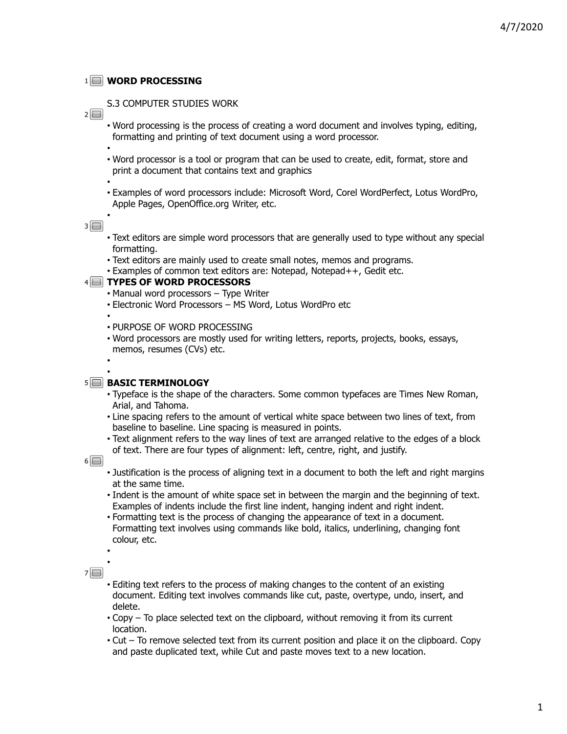## **WORD PROCESSING** 1

- S.3 COMPUTER STUDIES WORK
- $2\Box$
- Word processing is the process of creating a word document and involves typing, editing, formatting and printing of text document using a word processor. •
- Word processor is a tool or program that can be used to create, edit, format, store and print a document that contains text and graphics
- •
- Examples of word processors include: Microsoft Word, Corel WordPerfect, Lotus WordPro, Apple Pages, OpenOffice.org Writer, etc. •

 $3\Box$ 

- Text editors are simple word processors that are generally used to type without any special formatting.
- Text editors are mainly used to create small notes, memos and programs.
- Examples of common text editors are: Notepad, Notepad++, Gedit etc.

## **TYPES OF WORD PROCESSORS** 4

- Manual word processors Type Writer
- Electronic Word Processors MS Word, Lotus WordPro etc •
- PURPOSE OF WORD PROCESSING
- Word processors are mostly used for writing letters, reports, projects, books, essays, memos, resumes (CVs) etc.
- •

# **5** BASIC TERMINOLOGY

- Typeface is the shape of the characters. Some common typefaces are Times New Roman, Arial, and Tahoma.
- Line spacing refers to the amount of vertical white space between two lines of text, from baseline to baseline. Line spacing is measured in points.
- Text alignment refers to the way lines of text are arranged relative to the edges of a block of text. There are four types of alignment: left, centre, right, and justify.

#### $6\Box$

- Justification is the process of aligning text in a document to both the left and right margins at the same time.
- Indent is the amount of white space set in between the margin and the beginning of text. Examples of indents include the first line indent, hanging indent and right indent.
- Formatting text is the process of changing the appearance of text in a document. Formatting text involves using commands like bold, italics, underlining, changing font colour, etc.

 $7\Box$ 

• •

- Editing text refers to the process of making changes to the content of an existing document. Editing text involves commands like cut, paste, overtype, undo, insert, and delete.
- Copy To place selected text on the clipboard, without removing it from its current location.
- Cut To remove selected text from its current position and place it on the clipboard. Copy and paste duplicated text, while Cut and paste moves text to a new location.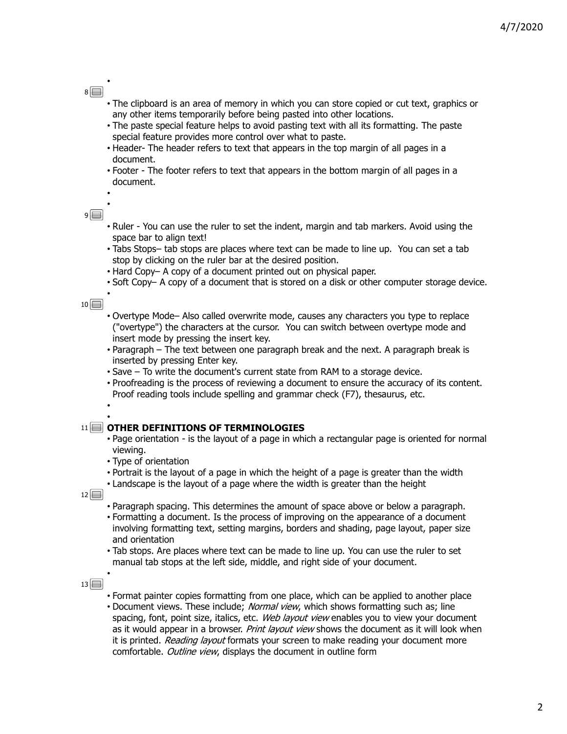# $8\Box$

•

- The clipboard is an area of memory in which you can store copied or cut text, graphics or any other items temporarily before being pasted into other locations.
- The paste special feature helps to avoid pasting text with all its formatting. The paste special feature provides more control over what to paste.
- Header- The header refers to text that appears in the top margin of all pages in a document.
- Footer The footer refers to text that appears in the bottom margin of all pages in a document. •

 $9\Box$ 

•

•

•

- Ruler You can use the ruler to set the indent, margin and tab markers. Avoid using the space bar to align text!
- Tabs Stops– tab stops are places where text can be made to line up. You can set a tab stop by clicking on the ruler bar at the desired position.
- Hard Copy– A copy of a document printed out on physical paper.
- Soft Copy– A copy of a document that is stored on a disk or other computer storage device.

 $10$ 

- Overtype Mode– Also called overwrite mode, causes any characters you type to replace ("overtype") the characters at the cursor. You can switch between overtype mode and insert mode by pressing the insert key.
- Paragraph The text between one paragraph break and the next. A paragraph break is inserted by pressing Enter key.
- Save To write the document's current state from RAM to a storage device.
- Proofreading is the process of reviewing a document to ensure the accuracy of its content. Proof reading tools include spelling and grammar check (F7), thesaurus, etc. •

# **OTHER DEFINITIONS OF TERMINOLOGIES** 11

- Page orientation is the layout of a page in which a rectangular page is oriented for normal viewing.
- Type of orientation
- Portrait is the layout of a page in which the height of a page is greater than the width
- Landscape is the layout of a page where the width is greater than the height

 $12$ 

- Paragraph spacing. This determines the amount of space above or below a paragraph.
- Formatting a document. Is the process of improving on the appearance of a document involving formatting text, setting margins, borders and shading, page layout, paper size and orientation
- Tab stops. Are places where text can be made to line up. You can use the ruler to set manual tab stops at the left side, middle, and right side of your document.

#### $13\Box$

- Format painter copies formatting from one place, which can be applied to another place
- Document views. These include; Normal view, which shows formatting such as; line spacing, font, point size, italics, etc. Web layout view enables you to view your document as it would appear in a browser. Print layout view shows the document as it will look when it is printed. Reading layout formats your screen to make reading your document more comfortable. Outline view, displays the document in outline form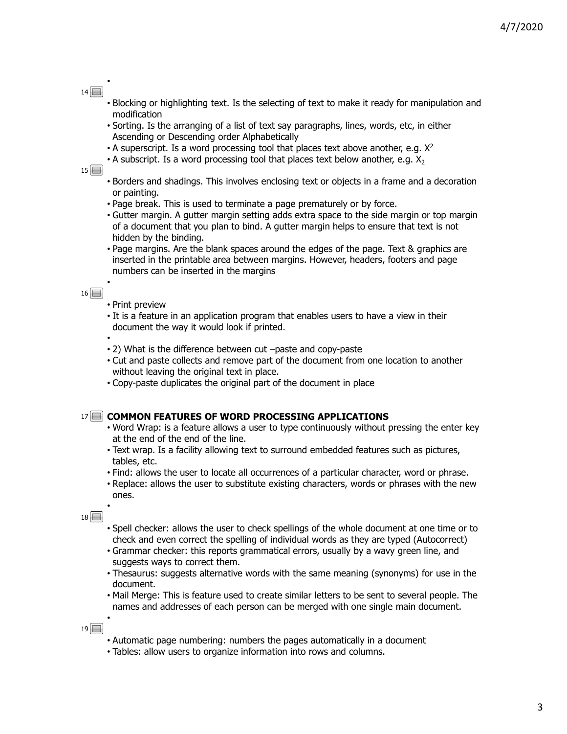# $14\Box$

•

- Blocking or highlighting text. Is the selecting of text to make it ready for manipulation and modification
- Sorting. Is the arranging of a list of text say paragraphs, lines, words, etc, in either Ascending or Descending order Alphabetically
- $\cdot$  A superscript. Is a word processing tool that places text above another, e.g.  $X^2$
- A subscript. Is a word processing tool that places text below another, e.g.  $X_2$

#### $15$

- Borders and shadings. This involves enclosing text or objects in a frame and a decoration or painting.
- Page break. This is used to terminate a page prematurely or by force.
- Gutter margin. A gutter margin setting adds extra space to the side margin or top margin of a document that you plan to bind. A gutter margin helps to ensure that text is not hidden by the binding.
- Page margins. Are the blank spaces around the edges of the page. Text & graphics are inserted in the printable area between margins. However, headers, footers and page numbers can be inserted in the margins •

# $16$

•

- Print preview
- It is a feature in an application program that enables users to have a view in their document the way it would look if printed.

• 2) What is the difference between cut –paste and copy-paste

- Cut and paste collects and remove part of the document from one location to another without leaving the original text in place.
- Copy-paste duplicates the original part of the document in place

#### 17 COMMON FEATURES OF WORD PROCESSING APPLICATIONS

- Word Wrap: is a feature allows a user to type continuously without pressing the enter key at the end of the end of the line.
- Text wrap. Is a facility allowing text to surround embedded features such as pictures, tables, etc.
- Find: allows the user to locate all occurrences of a particular character, word or phrase.
- Replace: allows the user to substitute existing characters, words or phrases with the new ones. •

 $18$ 

- Spell checker: allows the user to check spellings of the whole document at one time or to check and even correct the spelling of individual words as they are typed (Autocorrect)
- Grammar checker: this reports grammatical errors, usually by a wavy green line, and suggests ways to correct them.
- Thesaurus: suggests alternative words with the same meaning (synonyms) for use in the document.
- Mail Merge: This is feature used to create similar letters to be sent to several people. The names and addresses of each person can be merged with one single main document. •

- Automatic page numbering: numbers the pages automatically in a document
- Tables: allow users to organize information into rows and columns.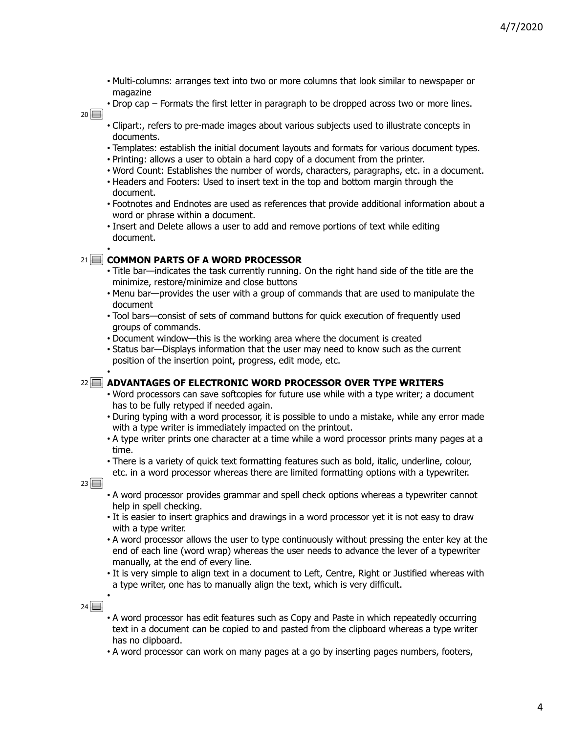- Multi-columns: arranges text into two or more columns that look similar to newspaper or magazine
- Drop cap Formats the first letter in paragraph to be dropped across two or more lines.  $20$ 
	- Clipart:, refers to pre-made images about various subjects used to illustrate concepts in documents.
	- Templates: establish the initial document layouts and formats for various document types.
	- Printing: allows a user to obtain a hard copy of a document from the printer.
	- Word Count: Establishes the number of words, characters, paragraphs, etc. in a document.
	- Headers and Footers: Used to insert text in the top and bottom margin through the document.
	- Footnotes and Endnotes are used as references that provide additional information about a word or phrase within a document.
	- Insert and Delete allows a user to add and remove portions of text while editing document. •

# **COMMON PARTS OF A WORD PROCESSOR** 21

- Title bar—indicates the task currently running. On the right hand side of the title are the minimize, restore/minimize and close buttons
- Menu bar—provides the user with a group of commands that are used to manipulate the document
- Tool bars—consist of sets of command buttons for quick execution of frequently used groups of commands.
- Document window—this is the working area where the document is created
- Status bar—Displays information that the user may need to know such as the current position of the insertion point, progress, edit mode, etc. •

**ADVANTAGES OF ELECTRONIC WORD PROCESSOR OVER TYPE WRITERS** 22

- Word processors can save softcopies for future use while with a type writer; a document has to be fully retyped if needed again.
- During typing with a word processor, it is possible to undo a mistake, while any error made with a type writer is immediately impacted on the printout.
- A type writer prints one character at a time while a word processor prints many pages at a time.
- There is a variety of quick text formatting features such as bold, italic, underline, colour,
- etc. in a word processor whereas there are limited formatting options with a typewriter.

 $23$ 

- A word processor provides grammar and spell check options whereas a typewriter cannot help in spell checking.
- It is easier to insert graphics and drawings in a word processor yet it is not easy to draw with a type writer.
- A word processor allows the user to type continuously without pressing the enter key at the end of each line (word wrap) whereas the user needs to advance the lever of a typewriter manually, at the end of every line.
- It is very simple to align text in a document to Left, Centre, Right or Justified whereas with a type writer, one has to manually align the text, which is very difficult. •

 $24\Box$ 

- A word processor has edit features such as Copy and Paste in which repeatedly occurring text in a document can be copied to and pasted from the clipboard whereas a type writer has no clipboard.
- A word processor can work on many pages at a go by inserting pages numbers, footers,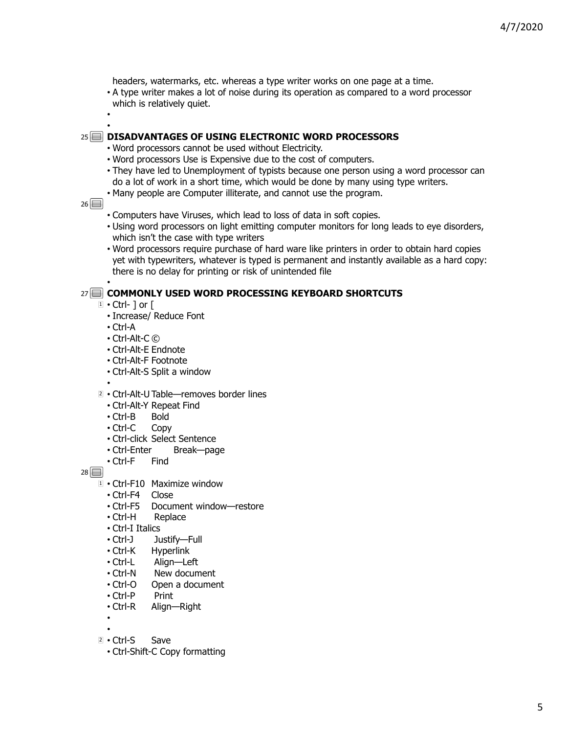headers, watermarks, etc. whereas a type writer works on one page at a time.

- A type writer makes a lot of noise during its operation as compared to a word processor which is relatively quiet. •
- 

•

## **DISADVANTAGES OF USING ELECTRONIC WORD PROCESSORS** 25

- Word processors cannot be used without Electricity.
- Word processors Use is Expensive due to the cost of computers.
- They have led to Unemployment of typists because one person using a word processor can do a lot of work in a short time, which would be done by many using type writers.
- Many people are Computer illiterate, and cannot use the program.

#### $26 \Box$

- Computers have Viruses, which lead to loss of data in soft copies.
- Using word processors on light emitting computer monitors for long leads to eye disorders, which isn't the case with type writers
- Word processors require purchase of hard ware like printers in order to obtain hard copies yet with typewriters, whatever is typed is permanent and instantly available as a hard copy: there is no delay for printing or risk of unintended file •

# **COMMONLY USED WORD PROCESSING KEYBOARD SHORTCUTS** 27

- $1 \cdot$  Ctrl-  $]$  or  $[$ 
	- Increase/ Reduce Font
	- Ctrl-A
	- Ctrl-Alt-C ©
	- Ctrl-Alt-E Endnote
	- Ctrl-Alt-F Footnote
	- Ctrl-Alt-S Split a window
- •
- 2 Ctrl-Alt-U Table-removes border lines
- Ctrl-Alt-Y Repeat Find
- Ctrl-B Bold
- Ctrl-C Copy
- Ctrl-click Select Sentence
- Ctrl-Enter Break—page
- Ctrl-F Find

- Ctrl-F10 Maximize window 1
- Ctrl-F4 Close
- Ctrl-F5 Document window—restore
- Ctrl-H Replace
- Ctrl-I Italics
- Ctrl-J Justify—Full
- Ctrl-K Hyperlink<br>• Ctrl-L Alian—Le
- Align—Left
- Ctrl-N New document
- Ctrl-O Open a document
- Ctrl-P Print
- Ctrl-R Align—Right
- •
- 2 Ctrl-S Save
- Ctrl-Shift-C Copy formatting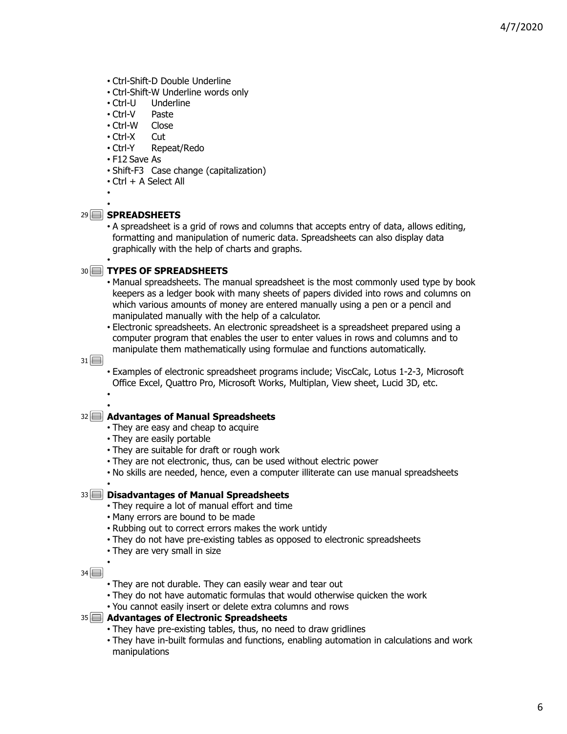- Ctrl-Shift-D Double Underline
- Ctrl-Shift-W Underline words only
- Ctrl-U Underline
- Ctrl-V Paste
- Ctrl-W Close
- Ctrl-X Cut
- Ctrl-Y Repeat/Redo
- F12 Save As
- Shift-F3 Case change (capitalization)
- Ctrl + A Select All

• •

## **SPREADSHEETS** 29

• A spreadsheet is a grid of rows and columns that accepts entry of data, allows editing, formatting and manipulation of numeric data. Spreadsheets can also display data graphically with the help of charts and graphs. •

## **TYPES OF SPREADSHEETS** 30

- Manual spreadsheets. The manual spreadsheet is the most commonly used type by book keepers as a ledger book with many sheets of papers divided into rows and columns on which various amounts of money are entered manually using a pen or a pencil and manipulated manually with the help of a calculator.
- Electronic spreadsheets. An electronic spreadsheet is a spreadsheet prepared using a computer program that enables the user to enter values in rows and columns and to manipulate them mathematically using formulae and functions automatically.

 $31$ 

• Examples of electronic spreadsheet programs include; ViscCalc, Lotus 1-2-3, Microsoft Office Excel, Quattro Pro, Microsoft Works, Multiplan, View sheet, Lucid 3D, etc. •

#### • **Advantages of Manual Spreadsheets** 32

- They are easy and cheap to acquire
- They are easily portable
- They are suitable for draft or rough work
- They are not electronic, thus, can be used without electric power
- No skills are needed, hence, even a computer illiterate can use manual spreadsheets

# **Disadvantages of Manual Spreadsheets** 33

- They require a lot of manual effort and time
- Many errors are bound to be made
- Rubbing out to correct errors makes the work untidy
- They do not have pre-existing tables as opposed to electronic spreadsheets
- They are very small in size •

 $34$ 

•

- They are not durable. They can easily wear and tear out
- They do not have automatic formulas that would otherwise quicken the work
- You cannot easily insert or delete extra columns and rows

#### **Advantages of Electronic Spreadsheets** 35

- They have pre-existing tables, thus, no need to draw gridlines
- They have in-built formulas and functions, enabling automation in calculations and work manipulations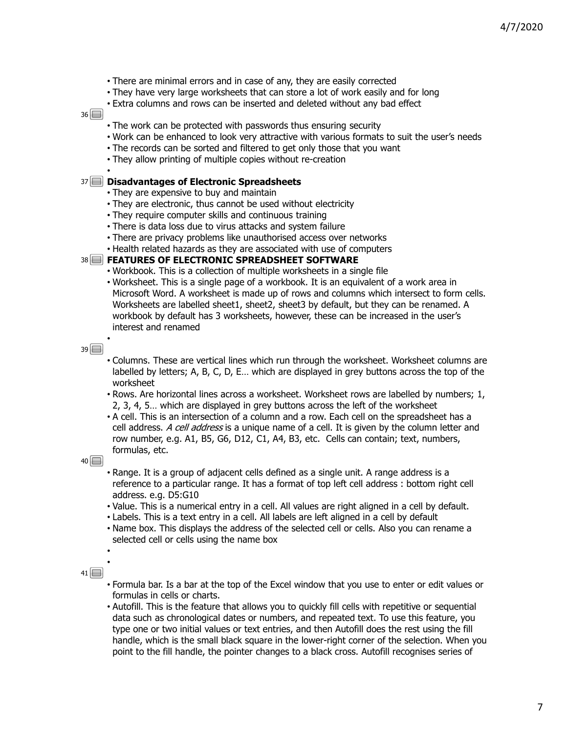- There are minimal errors and in case of any, they are easily corrected
- They have very large worksheets that can store a lot of work easily and for long
- Extra columns and rows can be inserted and deleted without any bad effect

- The work can be protected with passwords thus ensuring security
- Work can be enhanced to look very attractive with various formats to suit the user's needs
- The records can be sorted and filtered to get only those that you want
- They allow printing of multiple copies without re-creation •

## **Disadvantages of Electronic Spreadsheets** 37

- They are expensive to buy and maintain
- They are electronic, thus cannot be used without electricity
- They require computer skills and continuous training
- There is data loss due to virus attacks and system failure
- There are privacy problems like unauthorised access over networks
- Health related hazards as they are associated with use of computers

#### **FEATURES OF ELECTRONIC SPREADSHEET SOFTWARE** 38

- Workbook. This is a collection of multiple worksheets in a single file
- Worksheet. This is a single page of a workbook. It is an equivalent of a work area in Microsoft Word. A worksheet is made up of rows and columns which intersect to form cells. Worksheets are labelled sheet1, sheet2, sheet3 by default, but they can be renamed. A workbook by default has 3 worksheets, however, these can be increased in the user's interest and renamed

 $39$ 

•

- Columns. These are vertical lines which run through the worksheet. Worksheet columns are labelled by letters; A, B, C, D, E… which are displayed in grey buttons across the top of the worksheet
- Rows. Are horizontal lines across a worksheet. Worksheet rows are labelled by numbers; 1, 2, 3, 4, 5… which are displayed in grey buttons across the left of the worksheet
- A cell. This is an intersection of a column and a row. Each cell on the spreadsheet has a cell address. A cell address is a unique name of a cell. It is given by the column letter and row number, e.g. A1, B5, G6, D12, C1, A4, B3, etc. Cells can contain; text, numbers, formulas, etc.

 $40$ 

- Range. It is a group of adjacent cells defined as a single unit. A range address is a reference to a particular range. It has a format of top left cell address : bottom right cell address. e.g. D5:G10
- Value. This is a numerical entry in a cell. All values are right aligned in a cell by default.
- Labels. This is a text entry in a cell. All labels are left aligned in a cell by default
- Name box. This displays the address of the selected cell or cells. Also you can rename a selected cell or cells using the name box

 $41 \Box$ 

• •

- Formula bar. Is a bar at the top of the Excel window that you use to enter or edit values or formulas in cells or charts.
- Autofill. This is the feature that allows you to quickly fill cells with repetitive or sequential data such as chronological dates or numbers, and repeated text. To use this feature, you type one or two initial values or text entries, and then Autofill does the rest using the fill handle, which is the small black square in the lower-right corner of the selection. When you point to the fill handle, the pointer changes to a black cross. Autofill recognises series of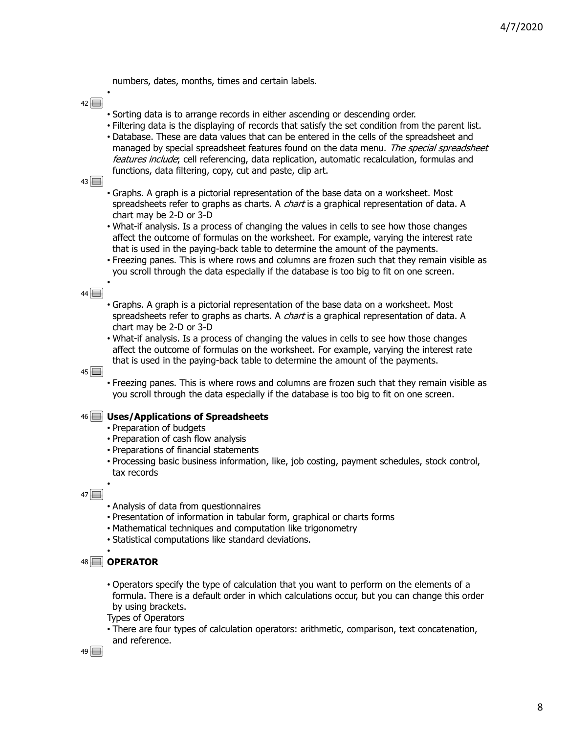numbers, dates, months, times and certain labels.

 $42\Box$ 

•

- Sorting data is to arrange records in either ascending or descending order.
- Filtering data is the displaying of records that satisfy the set condition from the parent list.
- Database. These are data values that can be entered in the cells of the spreadsheet and managed by special spreadsheet features found on the data menu. The special spreadsheet features include; cell referencing, data replication, automatic recalculation, formulas and functions, data filtering, copy, cut and paste, clip art.
- $43\Box$
- Graphs. A graph is a pictorial representation of the base data on a worksheet. Most spreadsheets refer to graphs as charts. A *chart* is a graphical representation of data. A chart may be 2-D or 3-D
- What-if analysis. Is a process of changing the values in cells to see how those changes affect the outcome of formulas on the worksheet. For example, varying the interest rate that is used in the paying-back table to determine the amount of the payments.
- Freezing panes. This is where rows and columns are frozen such that they remain visible as you scroll through the data especially if the database is too big to fit on one screen. •

#### $44\Box$

- Graphs. A graph is a pictorial representation of the base data on a worksheet. Most spreadsheets refer to graphs as charts. A *chart* is a graphical representation of data. A chart may be 2-D or 3-D
- What-if analysis. Is a process of changing the values in cells to see how those changes affect the outcome of formulas on the worksheet. For example, varying the interest rate that is used in the paying-back table to determine the amount of the payments.

 $45$ 

• Freezing panes. This is where rows and columns are frozen such that they remain visible as you scroll through the data especially if the database is too big to fit on one screen.

#### **Uses/Applications of Spreadsheets** 46

- Preparation of budgets
- Preparation of cash flow analysis
- Preparations of financial statements
- Processing basic business information, like, job costing, payment schedules, stock control, tax records

 $47\Box$ 

•

- Analysis of data from questionnaires
- Presentation of information in tabular form, graphical or charts forms
- Mathematical techniques and computation like trigonometry
- Statistical computations like standard deviations. •

#### **OPERATOR** 48

• Operators specify the type of calculation that you want to perform on the elements of a formula. There is a default order in which calculations occur, but you can change this order by using brackets.

Types of Operators

• There are four types of calculation operators: arithmetic, comparison, text concatenation, and reference.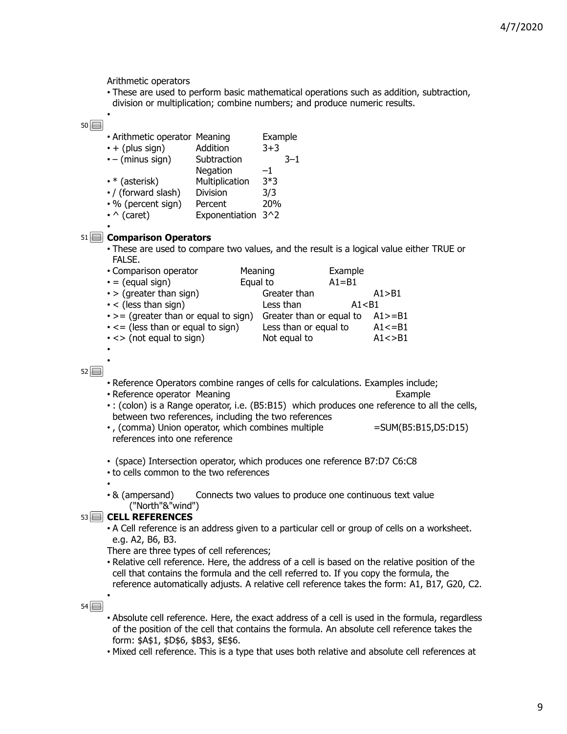Arithmetic operators

• These are used to perform basic mathematical operations such as addition, subtraction,

division or multiplication; combine numbers; and produce numeric results. •

## $50 \Box$

| • Arithmetic operator Meaning |                | Example |
|-------------------------------|----------------|---------|
| $\cdot$ + (plus sign)         | Addition       | $3+3$   |
| $\cdot$ – (minus sign)        | Subtraction    | $3 - 1$ |
|                               | Negation       | -1      |
| $\cdot$ * (asterisk)          | Multiplication | $3*3$   |
| • / (forward slash)           | Division       | 3/3     |
| • % (percent sign)            | Percent        | 20%     |
| $\cdot \wedge$ (caret)        | Exponentiation | $3^2$   |
|                               |                |         |

# **Comparison Operators** 51

• These are used to compare two values, and the result is a logical value either TRUE or FALSE.

| • Comparison operator                       | Meaning                  | Example   |             |
|---------------------------------------------|--------------------------|-----------|-------------|
| $\cdot$ = (equal sign)                      | Equal to                 | $A1 = B1$ |             |
| $\cdot$ > (greater than sign)               | Greater than             |           | A1 > B1     |
| $\cdot$ < (less than sign)                  | Less than                | A1 < B1   |             |
| $\cdot$ > = (greater than or equal to sign) | Greater than or equal to |           | $A1>=B1$    |
| $\cdot$ <= (less than or equal to sign)     | Less than or equal to    |           | $A1 \le B1$ |
| $\cdot$ <> (not equal to sign)              | Not equal to             |           | A1 < > B1   |
|                                             |                          |           |             |

# $52$

•

•

- Reference Operators combine ranges of cells for calculations. Examples include;
- Reference operator Meaning Example **Example**
- : (colon) is a Range operator, i.e. (B5:B15) which produces one reference to all the cells, between two references, including the two references
- •, (comma) Union operator, which combines multiple =SUM(B5:B15,D5:D15) references into one reference
- (space) Intersection operator, which produces one reference B7:D7 C6:C8
- to cells common to the two references
- & (ampersand) Connects two values to produce one continuous text value ("North"&"wind")

# **CELL REFERENCES** 53

• A Cell reference is an address given to a particular cell or group of cells on a worksheet. e.g. A2, B6, B3.

There are three types of cell references;

• Relative cell reference. Here, the address of a cell is based on the relative position of the cell that contains the formula and the cell referred to. If you copy the formula, the reference automatically adjusts. A relative cell reference takes the form: A1, B17, G20, C2.

 $54$ 

- Absolute cell reference. Here, the exact address of a cell is used in the formula, regardless of the position of the cell that contains the formula. An absolute cell reference takes the form: \$A\$1, \$D\$6, \$B\$3, \$E\$6.
- Mixed cell reference. This is a type that uses both relative and absolute cell references at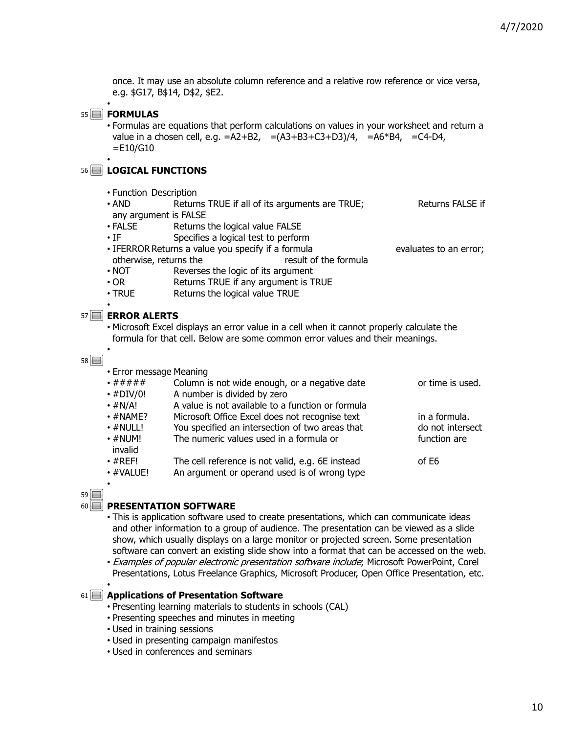once. It may use an absolute column reference and a relative row reference or vice versa, e.g. \$G17, B\$14, D\$2, \$E2.

# **FORMULAS** 55

•

• Formulas are equations that perform calculations on values in your worksheet and return a value in a chosen cell, e.g. =A2+B2, =(A3+B3+C3+D3)/4, =A6\*B4, =C4-D4, =E10/G10 •

# **LOGICAL FUNCTIONS** 56

- Function Description
- AND Returns TRUE if all of its arguments are TRUE; Returns FALSE if any argument is FALSE
- FALSE Returns the logical value FALSE
- IF Specifies a logical test to perform
- IFERROR Returns a value you specify if a formula evaluates to an error; otherwise, returns the result of the formula
- NOT Reverses the logic of its argument
- OR Returns TRUE if any argument is TRUE
- TRUE Returns the logical value TRUE

## **ERROR ALERTS** 57

• Error message Meaning

•

•

• Microsoft Excel displays an error value in a cell when it cannot properly calculate the formula for that cell. Below are some common error values and their meanings.

 $58$ 

| •#####                   | Column is not wide enough, or a negative date     | or time is used. |
|--------------------------|---------------------------------------------------|------------------|
| $\cdot$ #DIV/0!          | A number is divided by zero                       |                  |
| $\cdot$ #N/A!            | A value is not available to a function or formula |                  |
| $\cdot$ #NAME?           | Microsoft Office Excel does not recognise text    | in a formula.    |
| $\cdot$ #NULL!           | You specified an intersection of two areas that   | do not intersect |
| $\cdot$ #NUM!<br>invalid | The numeric values used in a formula or           | function are     |
| $\cdot$ #REF!            | The cell reference is not valid, e.g. 6E instead  | of E6            |
| · #VALUE!                | An argument or operand used is of wrong type      |                  |
| $\bullet$                |                                                   |                  |

 $59$ 

•

#### **PRESENTATION SOFTWARE** 60

- This is application software used to create presentations, which can communicate ideas and other information to a group of audience. The presentation can be viewed as a slide show, which usually displays on a large monitor or projected screen. Some presentation software can convert an existing slide show into a format that can be accessed on the web.
- Examples of popular electronic presentation software include; Microsoft PowerPoint, Corel Presentations, Lotus Freelance Graphics, Microsoft Producer, Open Office Presentation, etc.

#### **Applications of Presentation Software** 61

- Presenting learning materials to students in schools (CAL)
- Presenting speeches and minutes in meeting
- Used in training sessions
- Used in presenting campaign manifestos
- Used in conferences and seminars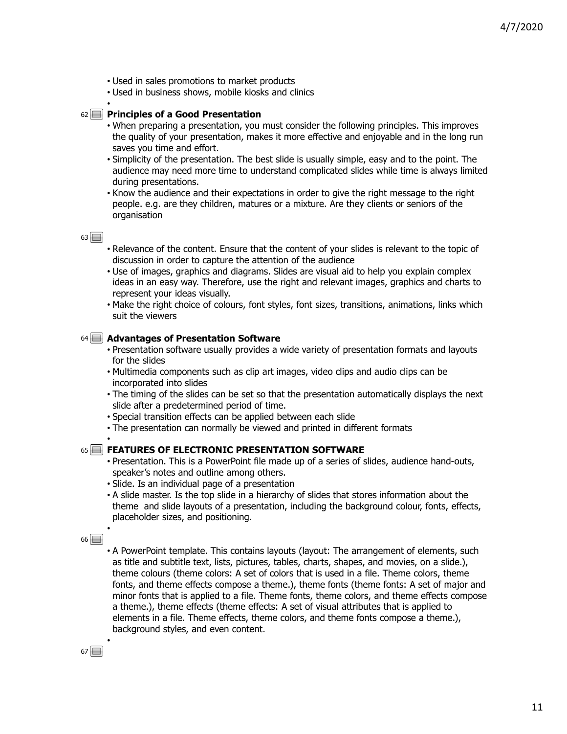- Used in sales promotions to market products
- Used in business shows, mobile kiosks and clinics

## **Principles of a Good Presentation** 62

- When preparing a presentation, you must consider the following principles. This improves the quality of your presentation, makes it more effective and enjoyable and in the long run saves you time and effort.
- Simplicity of the presentation. The best slide is usually simple, easy and to the point. The audience may need more time to understand complicated slides while time is always limited during presentations.
- Know the audience and their expectations in order to give the right message to the right people. e.g. are they children, matures or a mixture. Are they clients or seniors of the organisation

 $63$ 

•

- Relevance of the content. Ensure that the content of your slides is relevant to the topic of discussion in order to capture the attention of the audience
- Use of images, graphics and diagrams. Slides are visual aid to help you explain complex ideas in an easy way. Therefore, use the right and relevant images, graphics and charts to represent your ideas visually.
- Make the right choice of colours, font styles, font sizes, transitions, animations, links which suit the viewers

#### **Advantages of Presentation Software** 64

- Presentation software usually provides a wide variety of presentation formats and layouts for the slides
- Multimedia components such as clip art images, video clips and audio clips can be incorporated into slides
- The timing of the slides can be set so that the presentation automatically displays the next slide after a predetermined period of time.
- Special transition effects can be applied between each slide
- The presentation can normally be viewed and printed in different formats •

#### **FEATURES OF ELECTRONIC PRESENTATION SOFTWARE** 65

- Presentation. This is a PowerPoint file made up of a series of slides, audience hand-outs, speaker's notes and outline among others.
- Slide. Is an individual page of a presentation
- A slide master. Is the top slide in a hierarchy of slides that stores information about the theme and slide layouts of a presentation, including the background colour, fonts, effects, placeholder sizes, and positioning.

 $66$ 

•

• A PowerPoint template. This contains layouts (layout: The arrangement of elements, such as title and subtitle text, lists, pictures, tables, charts, shapes, and movies, on a slide.), theme colours (theme colors: A set of colors that is used in a file. Theme colors, theme fonts, and theme effects compose a theme.), theme fonts (theme fonts: A set of major and minor fonts that is applied to a file. Theme fonts, theme colors, and theme effects compose a theme.), theme effects (theme effects: A set of visual attributes that is applied to elements in a file. Theme effects, theme colors, and theme fonts compose a theme.), background styles, and even content.

 $67$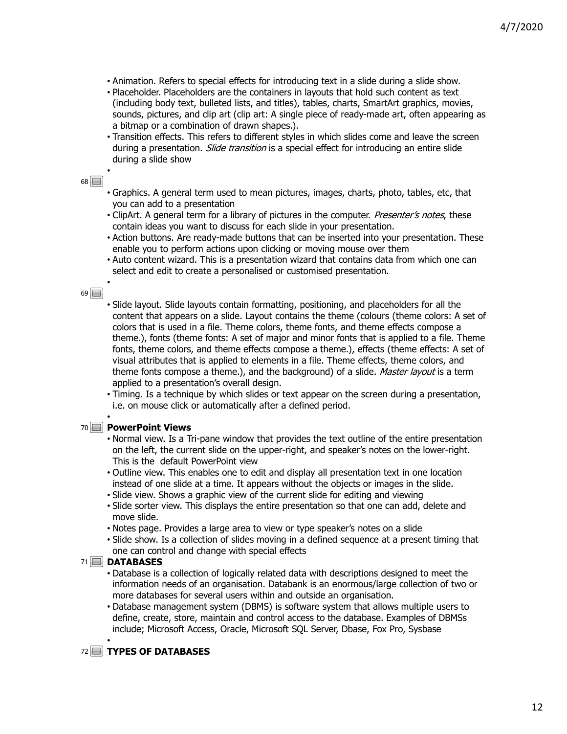- Animation. Refers to special effects for introducing text in a slide during a slide show.
- Placeholder. Placeholders are the containers in layouts that hold such content as text (including body text, bulleted lists, and titles), tables, charts, SmartArt graphics, movies, sounds, pictures, and clip art (clip art: A single piece of ready-made art, often appearing as a bitmap or a combination of drawn shapes.).
- Transition effects. This refers to different styles in which slides come and leave the screen during a presentation. Slide transition is a special effect for introducing an entire slide during a slide show

•

- Graphics. A general term used to mean pictures, images, charts, photo, tables, etc, that you can add to a presentation
- ClipArt. A general term for a library of pictures in the computer. Presenter's notes, these contain ideas you want to discuss for each slide in your presentation.
- Action buttons. Are ready-made buttons that can be inserted into your presentation. These enable you to perform actions upon clicking or moving mouse over them
- Auto content wizard. This is a presentation wizard that contains data from which one can select and edit to create a personalised or customised presentation.

## $69$

•

- Slide layout. Slide layouts contain formatting, positioning, and placeholders for all the content that appears on a slide. Layout contains the theme (colours (theme colors: A set of colors that is used in a file. Theme colors, theme fonts, and theme effects compose a theme.), fonts (theme fonts: A set of major and minor fonts that is applied to a file. Theme fonts, theme colors, and theme effects compose a theme.), effects (theme effects: A set of visual attributes that is applied to elements in a file. Theme effects, theme colors, and theme fonts compose a theme.), and the background) of a slide. Master layout is a term applied to a presentation's overall design.
- Timing. Is a technique by which slides or text appear on the screen during a presentation, i.e. on mouse click or automatically after a defined period. •

## **PowerPoint Views** 70

- Normal view. Is a Tri-pane window that provides the text outline of the entire presentation on the left, the current slide on the upper-right, and speaker's notes on the lower-right. This is the default PowerPoint view
- Outline view. This enables one to edit and display all presentation text in one location instead of one slide at a time. It appears without the objects or images in the slide.
- Slide view. Shows a graphic view of the current slide for editing and viewing
- Slide sorter view. This displays the entire presentation so that one can add, delete and move slide.
- Notes page. Provides a large area to view or type speaker's notes on a slide
- Slide show. Is a collection of slides moving in a defined sequence at a present timing that one can control and change with special effects

## **DATABASES** 71

- Database is a collection of logically related data with descriptions designed to meet the information needs of an organisation. Databank is an enormous/large collection of two or more databases for several users within and outside an organisation.
- Database management system (DBMS) is software system that allows multiple users to define, create, store, maintain and control access to the database. Examples of DBMSs include; Microsoft Access, Oracle, Microsoft SQL Server, Dbase, Fox Pro, Sysbase •

# **TYPES OF DATABASES** 72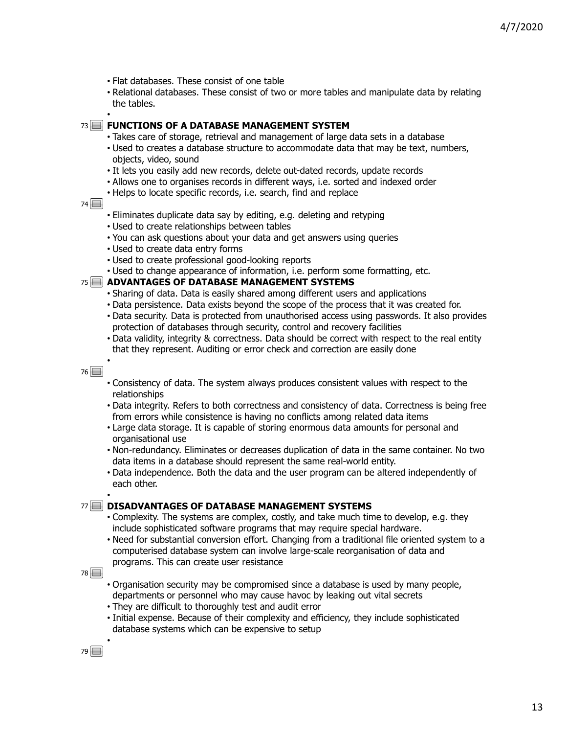- Flat databases. These consist of one table
- Relational databases. These consist of two or more tables and manipulate data by relating the tables.
- •

#### **FUNCTIONS OF A DATABASE MANAGEMENT SYSTEM** 73

- Takes care of storage, retrieval and management of large data sets in a database
- Used to creates a database structure to accommodate data that may be text, numbers, objects, video, sound
- It lets you easily add new records, delete out-dated records, update records
- Allows one to organises records in different ways, i.e. sorted and indexed order
- Helps to locate specific records, i.e. search, find and replace
- $74$
- Eliminates duplicate data say by editing, e.g. deleting and retyping
- Used to create relationships between tables
- You can ask questions about your data and get answers using queries
- Used to create data entry forms
- Used to create professional good-looking reports
- Used to change appearance of information, i.e. perform some formatting, etc.

#### **ADVANTAGES OF DATABASE MANAGEMENT SYSTEMS** 75

- Sharing of data. Data is easily shared among different users and applications
- Data persistence. Data exists beyond the scope of the process that it was created for.
- Data security. Data is protected from unauthorised access using passwords. It also provides protection of databases through security, control and recovery facilities
- Data validity, integrity & correctness. Data should be correct with respect to the real entity that they represent. Auditing or error check and correction are easily done •

 $76$ 

- Consistency of data. The system always produces consistent values with respect to the relationships
- Data integrity. Refers to both correctness and consistency of data. Correctness is being free from errors while consistence is having no conflicts among related data items
- Large data storage. It is capable of storing enormous data amounts for personal and organisational use
- Non-redundancy. Eliminates or decreases duplication of data in the same container. No two data items in a database should represent the same real-world entity.
- Data independence. Both the data and the user program can be altered independently of each other. •

# **DISADVANTAGES OF DATABASE MANAGEMENT SYSTEMS** 77

- Complexity. The systems are complex, costly, and take much time to develop, e.g. they include sophisticated software programs that may require special hardware.
- Need for substantial conversion effort. Changing from a traditional file oriented system to a computerised database system can involve large-scale reorganisation of data and programs. This can create user resistance

78<sup>[1]</sup>

- Organisation security may be compromised since a database is used by many people, departments or personnel who may cause havoc by leaking out vital secrets
- They are difficult to thoroughly test and audit error
- Initial expense. Because of their complexity and efficiency, they include sophisticated database systems which can be expensive to setup

79 **1**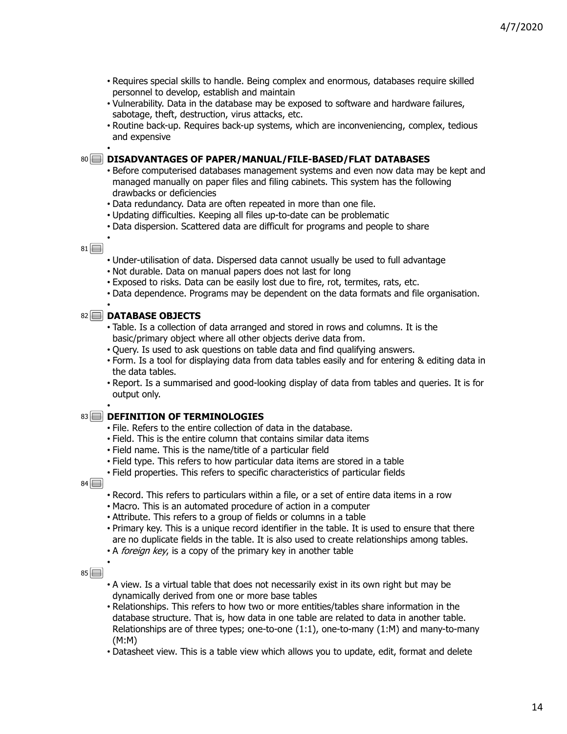- Requires special skills to handle. Being complex and enormous, databases require skilled personnel to develop, establish and maintain
- Vulnerability. Data in the database may be exposed to software and hardware failures, sabotage, theft, destruction, virus attacks, etc.
- Routine back-up. Requires back-up systems, which are inconveniencing, complex, tedious and expensive •

## **DISADVANTAGES OF PAPER/MANUAL/FILE-BASED/FLAT DATABASES** 80

- Before computerised databases management systems and even now data may be kept and managed manually on paper files and filing cabinets. This system has the following drawbacks or deficiencies
- Data redundancy. Data are often repeated in more than one file.
- Updating difficulties. Keeping all files up-to-date can be problematic
- Data dispersion. Scattered data are difficult for programs and people to share •

## $81$

- Under-utilisation of data. Dispersed data cannot usually be used to full advantage
- Not durable. Data on manual papers does not last for long
- Exposed to risks. Data can be easily lost due to fire, rot, termites, rats, etc.
- Data dependence. Programs may be dependent on the data formats and file organisation. •

# **DATABASE OBJECTS** 82

- Table. Is a collection of data arranged and stored in rows and columns. It is the basic/primary object where all other objects derive data from.
- Query. Is used to ask questions on table data and find qualifying answers.
- Form. Is a tool for displaying data from data tables easily and for entering & editing data in the data tables.
- Report. Is a summarised and good-looking display of data from tables and queries. It is for output only. •

## **DEFINITION OF TERMINOLOGIES** 83

- File. Refers to the entire collection of data in the database.
- Field. This is the entire column that contains similar data items
- Field name. This is the name/title of a particular field
- Field type. This refers to how particular data items are stored in a table
- Field properties. This refers to specific characteristics of particular fields

 $84$ 

- Record. This refers to particulars within a file, or a set of entire data items in a row
- Macro. This is an automated procedure of action in a computer
- Attribute. This refers to a group of fields or columns in a table
- Primary key. This is a unique record identifier in the table. It is used to ensure that there are no duplicate fields in the table. It is also used to create relationships among tables.
- A foreign key, is a copy of the primary key in another table •

- A view. Is a virtual table that does not necessarily exist in its own right but may be dynamically derived from one or more base tables
- Relationships. This refers to how two or more entities/tables share information in the database structure. That is, how data in one table are related to data in another table. Relationships are of three types; one-to-one (1:1), one-to-many (1:M) and many-to-many (M:M)
- Datasheet view. This is a table view which allows you to update, edit, format and delete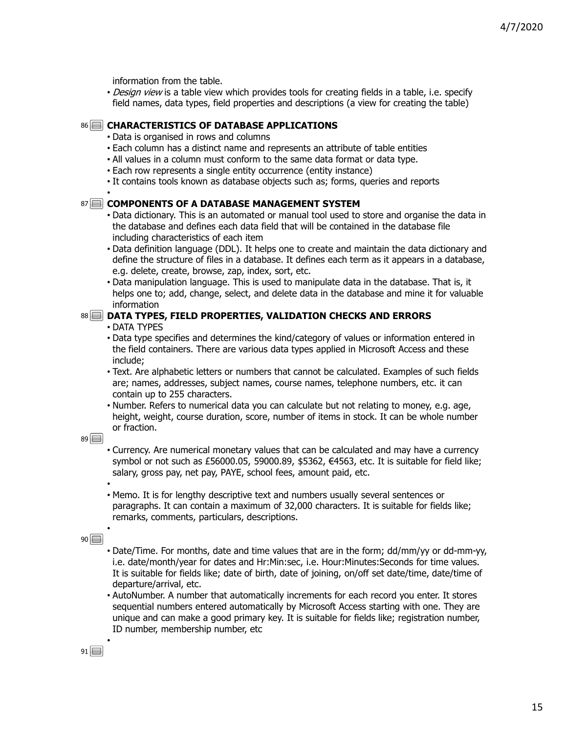information from the table.

• Design view is a table view which provides tools for creating fields in a table, i.e. specify field names, data types, field properties and descriptions (a view for creating the table)

## **CHARACTERISTICS OF DATABASE APPLICATIONS** 86

- Data is organised in rows and columns
- Each column has a distinct name and represents an attribute of table entities
- All values in a column must conform to the same data format or data type.
- Each row represents a single entity occurrence (entity instance)
- It contains tools known as database objects such as; forms, queries and reports •

## **COMPONENTS OF A DATABASE MANAGEMENT SYSTEM** 87

- Data dictionary. This is an automated or manual tool used to store and organise the data in the database and defines each data field that will be contained in the database file including characteristics of each item
- Data definition language (DDL). It helps one to create and maintain the data dictionary and define the structure of files in a database. It defines each term as it appears in a database, e.g. delete, create, browse, zap, index, sort, etc.
- Data manipulation language. This is used to manipulate data in the database. That is, it helps one to; add, change, select, and delete data in the database and mine it for valuable information

# **DATA TYPES, FIELD PROPERTIES, VALIDATION CHECKS AND ERRORS** 88

• DATA TYPES

- Data type specifies and determines the kind/category of values or information entered in the field containers. There are various data types applied in Microsoft Access and these include;
- Text. Are alphabetic letters or numbers that cannot be calculated. Examples of such fields are; names, addresses, subject names, course names, telephone numbers, etc. it can contain up to 255 characters.
- Number. Refers to numerical data you can calculate but not relating to money, e.g. age, height, weight, course duration, score, number of items in stock. It can be whole number or fraction.

 $89$ 

- Currency. Are numerical monetary values that can be calculated and may have a currency symbol or not such as £56000.05, 59000.89, \$5362, €4563, etc. It is suitable for field like; salary, gross pay, net pay, PAYE, school fees, amount paid, etc. •
- Memo. It is for lengthy descriptive text and numbers usually several sentences or paragraphs. It can contain a maximum of 32,000 characters. It is suitable for fields like; remarks, comments, particulars, descriptions. •

 $90$ 

- Date/Time. For months, date and time values that are in the form; dd/mm/yy or dd-mm-yy, i.e. date/month/year for dates and Hr:Min:sec, i.e. Hour:Minutes:Seconds for time values. It is suitable for fields like; date of birth, date of joining, on/off set date/time, date/time of departure/arrival, etc.
- AutoNumber. A number that automatically increments for each record you enter. It stores sequential numbers entered automatically by Microsoft Access starting with one. They are unique and can make a good primary key. It is suitable for fields like; registration number, ID number, membership number, etc •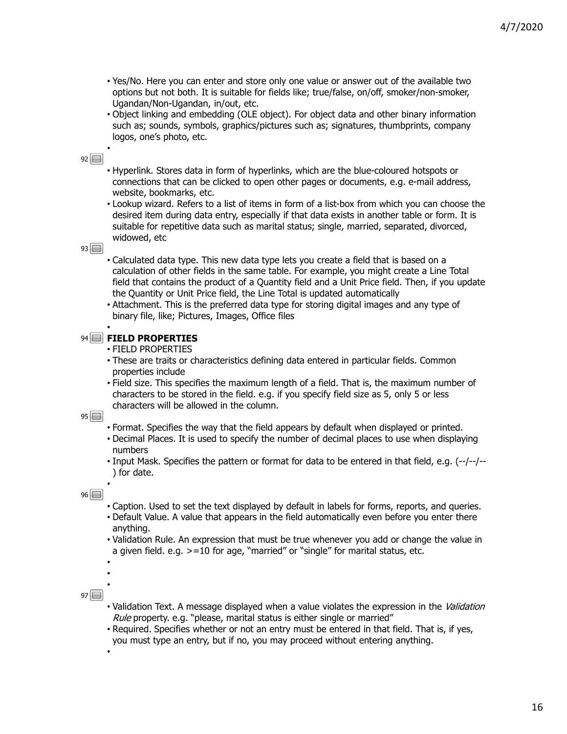- Yes/No. Here you can enter and store only one value or answer out of the available two options but not both. It is suitable for fields like; true/false, on/off, smoker/non-smoker, Ugandan/Non-Ugandan, in/out, etc.
- Object linking and embedding (OLE object). For object data and other binary information such as; sounds, symbols, graphics/pictures such as; signatures, thumbprints, company logos, one's photo, etc. •

- Hyperlink. Stores data in form of hyperlinks, which are the blue-coloured hotspots or connections that can be clicked to open other pages or documents, e.g. e-mail address, website, bookmarks, etc.
- Lookup wizard. Refers to a list of items in form of a list-box from which you can choose the desired item during data entry, especially if that data exists in another table or form. It is suitable for repetitive data such as marital status; single, married, separated, divorced, widowed, etc

# $93$

- Calculated data type. This new data type lets you create a field that is based on a calculation of other fields in the same table. For example, you might create a Line Total field that contains the product of a Quantity field and a Unit Price field. Then, if you update the Quantity or Unit Price field, the Line Total is updated automatically
- Attachment. This is the preferred data type for storing digital images and any type of binary file, like; Pictures, Images, Office files •

# **FIELD PROPERTIES** 94

- FIELD PROPERTIES
- These are traits or characteristics defining data entered in particular fields. Common properties include
- Field size. This specifies the maximum length of a field. That is, the maximum number of characters to be stored in the field. e.g. if you specify field size as 5, only 5 or less characters will be allowed in the column.

 $95\Box$ 

- Format. Specifies the way that the field appears by default when displayed or printed.
- Decimal Places. It is used to specify the number of decimal places to use when displaying numbers
- Input Mask. Specifies the pattern or format for data to be entered in that field, e.g. (--/--/-- ) for date. •

 $96$ 

- Caption. Used to set the text displayed by default in labels for forms, reports, and queries.
- Default Value. A value that appears in the field automatically even before you enter there anything.
- Validation Rule. An expression that must be true whenever you add or change the value in a given field. e.g. >=10 for age, "married" or "single" for marital status, etc.
- • •

- Validation Text. A message displayed when a value violates the expression in the Validation Rule property. e.g. "please, marital status is either single or married"
- Required. Specifies whether or not an entry must be entered in that field. That is, if yes, you must type an entry, but if no, you may proceed without entering anything. •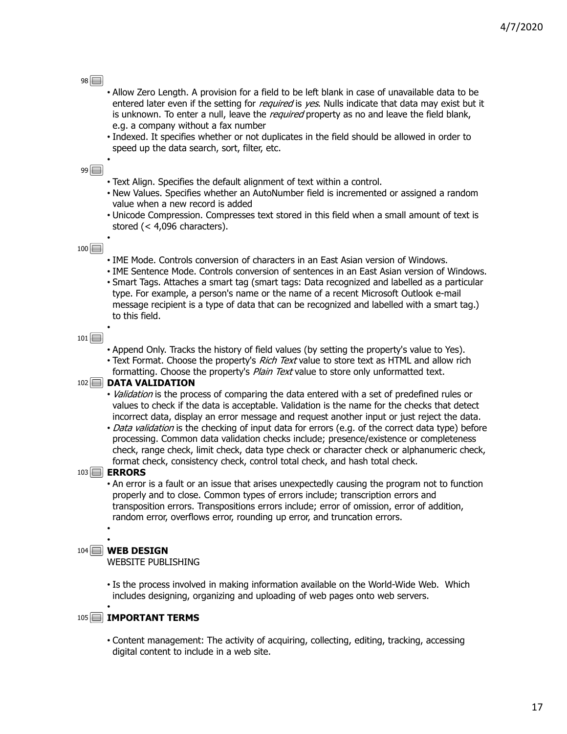- Allow Zero Length. A provision for a field to be left blank in case of unavailable data to be entered later even if the setting for *required* is *yes*. Nulls indicate that data may exist but it is unknown. To enter a null, leave the *required* property as no and leave the field blank, e.g. a company without a fax number
- Indexed. It specifies whether or not duplicates in the field should be allowed in order to speed up the data search, sort, filter, etc. •

## $99$

- Text Align. Specifies the default alignment of text within a control.
- New Values. Specifies whether an AutoNumber field is incremented or assigned a random value when a new record is added
- Unicode Compression. Compresses text stored in this field when a small amount of text is stored (< 4,096 characters). •

#### $100$

- IME Mode. Controls conversion of characters in an East Asian version of Windows.
- IME Sentence Mode. Controls conversion of sentences in an East Asian version of Windows.
- Smart Tags. Attaches a smart tag (smart tags: Data recognized and labelled as a particular type. For example, a person's name or the name of a recent Microsoft Outlook e-mail message recipient is a type of data that can be recognized and labelled with a smart tag.) to this field. •

#### $101 \Box$

- Append Only. Tracks the history of field values (by setting the property's value to Yes).
- Text Format. Choose the property's Rich Text value to store text as HTML and allow rich formatting. Choose the property's *Plain Text* value to store only unformatted text.

#### 102<sup> **DATA VALIDATION**</sup>

- *Validation* is the process of comparing the data entered with a set of predefined rules or values to check if the data is acceptable. Validation is the name for the checks that detect incorrect data, display an error message and request another input or just reject the data.
- Data validation is the checking of input data for errors (e.g. of the correct data type) before processing. Common data validation checks include; presence/existence or completeness check, range check, limit check, data type check or character check or alphanumeric check, format check, consistency check, control total check, and hash total check.

#### **ERRORS** 103

• An error is a fault or an issue that arises unexpectedly causing the program not to function properly and to close. Common types of errors include; transcription errors and transposition errors. Transpositions errors include; error of omission, error of addition, random error, overflows error, rounding up error, and truncation errors. •

#### • **WEB DESIGN** 104

WEBSITE PUBLISHING

• Is the process involved in making information available on the World-Wide Web. Which includes designing, organizing and uploading of web pages onto web servers. •

## **IMPORTANT TERMS** 105

• Content management: The activity of acquiring, collecting, editing, tracking, accessing digital content to include in a web site.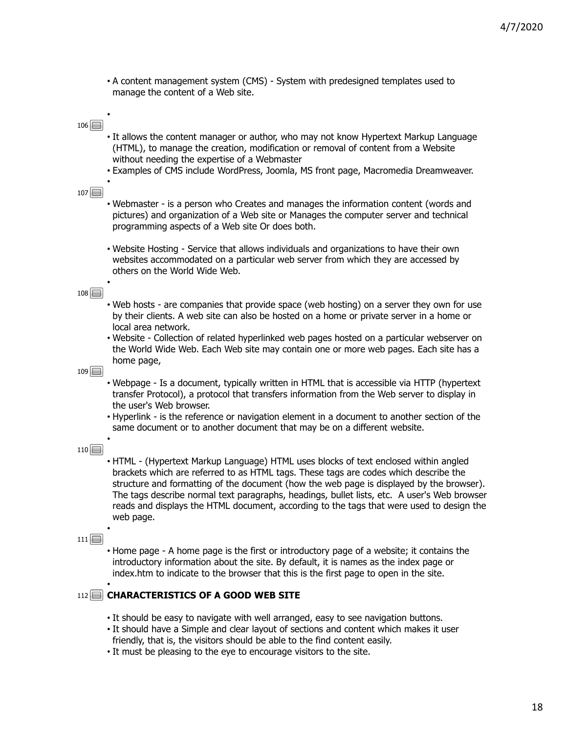• A content management system (CMS) - System with predesigned templates used to manage the content of a Web site.

## $106$

•

- It allows the content manager or author, who may not know Hypertext Markup Language (HTML), to manage the creation, modification or removal of content from a Website without needing the expertise of a Webmaster
- Examples of CMS include WordPress, Joomla, MS front page, Macromedia Dreamweaver. •

 $107$ 

- Webmaster is a person who Creates and manages the information content (words and pictures) and organization of a Web site or Manages the computer server and technical programming aspects of a Web site Or does both.
- Website Hosting Service that allows individuals and organizations to have their own websites accommodated on a particular web server from which they are accessed by others on the World Wide Web.

#### $108$

•

- Web hosts are companies that provide space (web hosting) on a server they own for use by their clients. A web site can also be hosted on a home or private server in a home or local area network.
- Website Collection of related hyperlinked web pages hosted on a particular webserver on the World Wide Web. Each Web site may contain one or more web pages. Each site has a home page,

 $109$ 

- Webpage Is a document, typically written in HTML that is accessible via HTTP (hypertext transfer Protocol), a protocol that transfers information from the Web server to display in the user's Web browser.
- Hyperlink is the reference or navigation element in a document to another section of the same document or to another document that may be on a different website. •

#### $110$

• HTML - (Hypertext Markup Language) HTML uses blocks of text enclosed within angled brackets which are referred to as HTML tags. These tags are codes which describe the structure and formatting of the document (how the web page is displayed by the browser). The tags describe normal text paragraphs, headings, bullet lists, etc. A user's Web browser reads and displays the HTML document, according to the tags that were used to design the web page. •

#### $111 \Box$

• Home page - A home page is the first or introductory page of a website; it contains the introductory information about the site. By default, it is names as the index page or index.htm to indicate to the browser that this is the first page to open in the site. •

# **CHARACTERISTICS OF A GOOD WEB SITE** 112

- It should be easy to navigate with well arranged, easy to see navigation buttons.
- It should have a Simple and clear layout of sections and content which makes it user friendly, that is, the visitors should be able to the find content easily.
- It must be pleasing to the eye to encourage visitors to the site.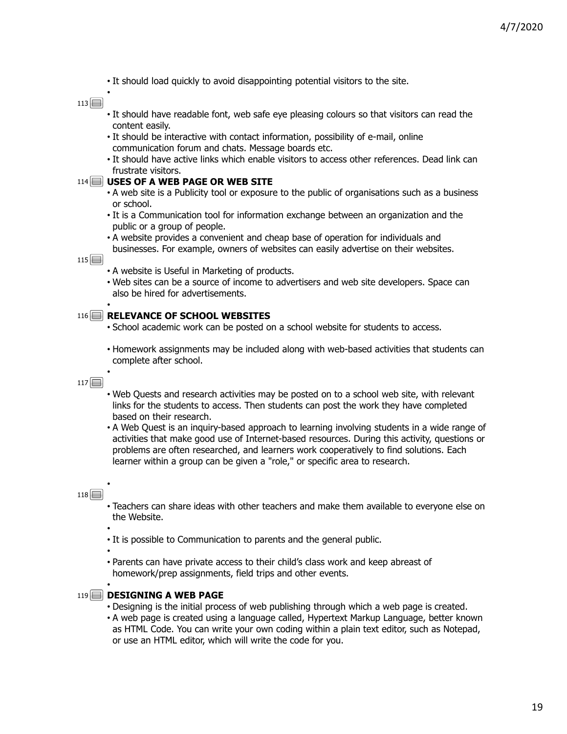• It should load quickly to avoid disappointing potential visitors to the site.

 $113$ 

•

- It should have readable font, web safe eye pleasing colours so that visitors can read the content easily.
- It should be interactive with contact information, possibility of e-mail, online communication forum and chats. Message boards etc.
- It should have active links which enable visitors to access other references. Dead link can frustrate visitors.

#### **USES OF A WEB PAGE OR WEB SITE** 114

- A web site is a Publicity tool or exposure to the public of organisations such as a business or school.
- It is a Communication tool for information exchange between an organization and the public or a group of people.
- A website provides a convenient and cheap base of operation for individuals and businesses. For example, owners of websites can easily advertise on their websites.

 $115$ 

- A website is Useful in Marketing of products.
- Web sites can be a source of income to advertisers and web site developers. Space can also be hired for advertisements. •

#### **RELEVANCE OF SCHOOL WEBSITES** 116

- School academic work can be posted on a school website for students to access.
- Homework assignments may be included along with web-based activities that students can complete after school. •

 $117$ 

- Web Quests and research activities may be posted on to a school web site, with relevant links for the students to access. Then students can post the work they have completed based on their research.
- A Web Quest is an inquiry-based approach to learning involving students in a wide range of activities that make good use of Internet-based resources. During this activity, questions or problems are often researched, and learners work cooperatively to find solutions. Each learner within a group can be given a "role," or specific area to research.

#### $118$

•

•

•

•

- Teachers can share ideas with other teachers and make them available to everyone else on the Website.
- It is possible to Communication to parents and the general public.
- Parents can have private access to their child's class work and keep abreast of homework/prep assignments, field trips and other events.

#### 119 **BESIGNING A WEB PAGE**

- Designing is the initial process of web publishing through which a web page is created.
- A web page is created using a language called, Hypertext Markup Language, better known as HTML Code. You can write your own coding within a plain text editor, such as Notepad, or use an HTML editor, which will write the code for you.